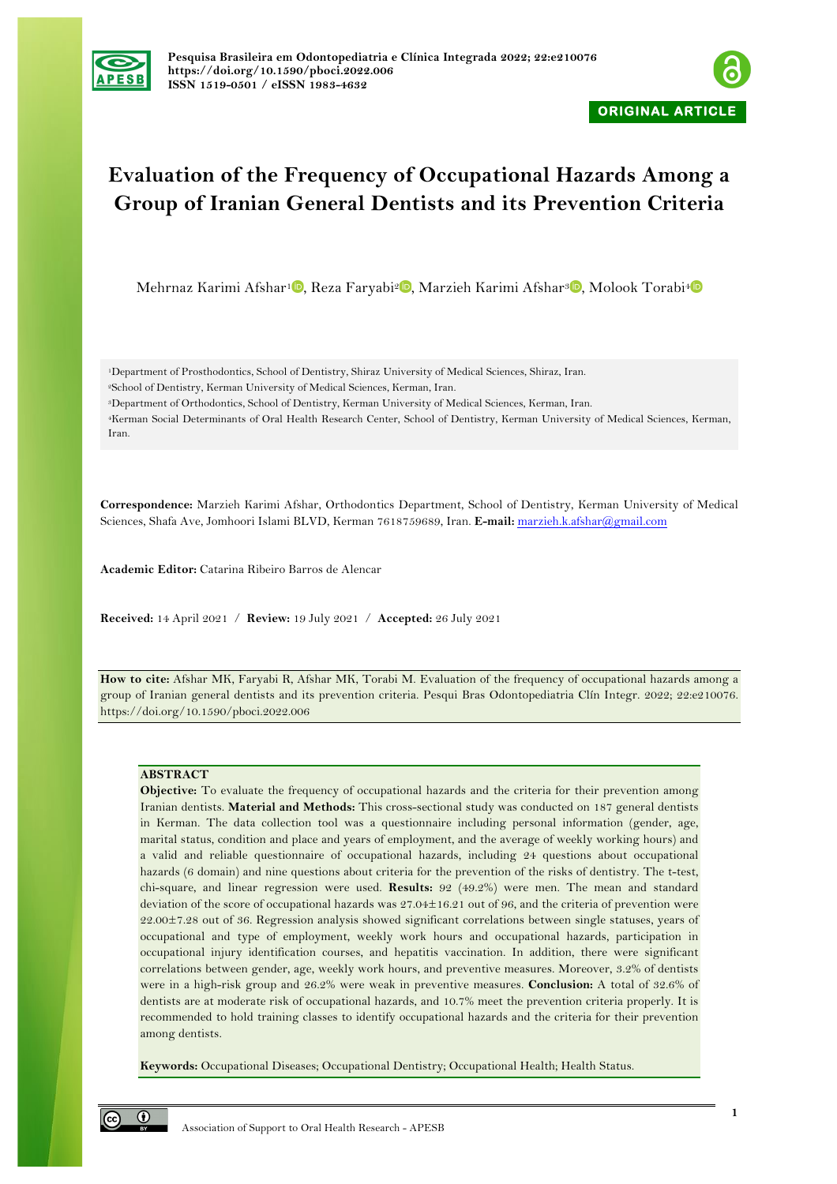



# **Evaluation of the Frequency of Occupational Hazards Among a Group of Iranian General Dentists and its Prevention Criteria**

Mehrnaz Karimi Afshar<sup>1</sup> , Reza Faryabi<sup>2</sup> , Marzieh Karimi Afshar<sup>3</sup> , Molook Torabi<sup>4</sup>

1Department of Prosthodontics, School of Dentistry, Shiraz University of Medical Sciences, Shiraz, Iran. 2School of Dentistry, Kerman University of Medical Sciences, Kerman, Iran.

3Department of Orthodontics, School of Dentistry, Kerman University of Medical Sciences, Kerman, Iran.

4Kerman Social Determinants of Oral Health Research Center, School of Dentistry, Kerman University of Medical Sciences, Kerman, Iran.

**Correspondence:** Marzieh Karimi Afshar, Orthodontics Department, School of Dentistry, Kerman University of Medical Sciences, Shafa Ave, Jomhoori Islami BLVD, Kerman 7618759689, Iran. **E-mail:** marzieh.k.afshar@gmail.com

**Academic Editor:** Catarina Ribeiro Barros de Alencar

**Received:** 14 April 2021 / **Review:** 19 July 2021 / **Accepted:** 26 July 2021

**How to cite:** Afshar MK, Faryabi R, Afshar MK, Torabi M. Evaluation of the frequency of occupational hazards among a group of Iranian general dentists and its prevention criteria. Pesqui Bras Odontopediatria Clín Integr. 2022; 22:e210076. https://doi.org/10.1590/pboci.2022.006

# **ABSTRACT**

**Objective:** To evaluate the frequency of occupational hazards and the criteria for their prevention among Iranian dentists. **Material and Methods:** This cross-sectional study was conducted on 187 general dentists in Kerman. The data collection tool was a questionnaire including personal information (gender, age, marital status, condition and place and years of employment, and the average of weekly working hours) and a valid and reliable questionnaire of occupational hazards, including 24 questions about occupational hazards (6 domain) and nine questions about criteria for the prevention of the risks of dentistry. The t-test, chi-square, and linear regression were used. **Results:** 92 (49.2%) were men. The mean and standard deviation of the score of occupational hazards was 27.04±16.21 out of 96, and the criteria of prevention were 22.00±7.28 out of 36. Regression analysis showed significant correlations between single statuses, years of occupational and type of employment, weekly work hours and occupational hazards, participation in occupational injury identification courses, and hepatitis vaccination. In addition, there were significant correlations between gender, age, weekly work hours, and preventive measures. Moreover, 3.2% of dentists were in a high-risk group and 26.2% were weak in preventive measures. **Conclusion:** A total of 32.6% of dentists are at moderate risk of occupational hazards, and 10.7% meet the prevention criteria properly. It is recommended to hold training classes to identify occupational hazards and the criteria for their prevention among dentists.

**Keywords:** Occupational Diseases; Occupational Dentistry; Occupational Health; Health Status.

 $\odot$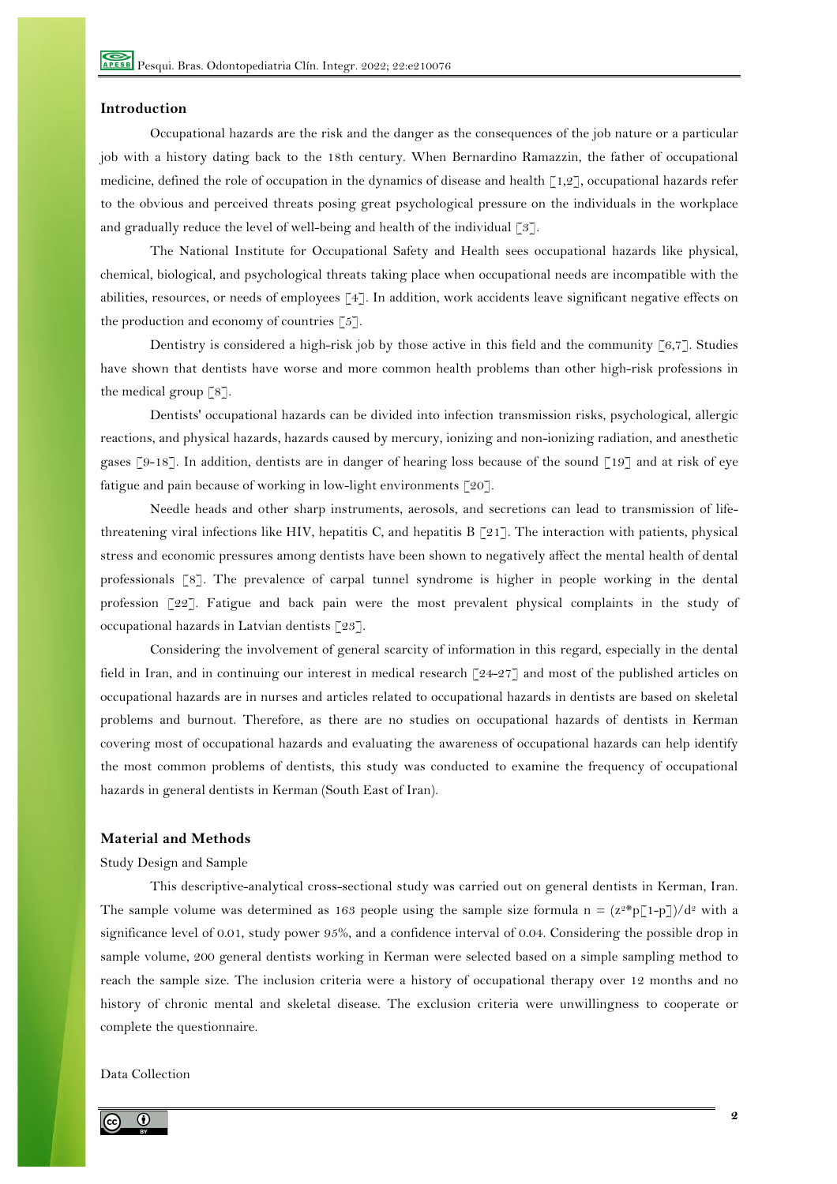## **Introduction**

Occupational hazards are the risk and the danger as the consequences of the job nature or a particular job with a history dating back to the 18th century. When Bernardino Ramazzin, the father of occupational medicine, defined the role of occupation in the dynamics of disease and health [1,2], occupational hazards refer to the obvious and perceived threats posing great psychological pressure on the individuals in the workplace and gradually reduce the level of well-being and health of the individual  $\lceil 3 \rceil$ .

The National Institute for Occupational Safety and Health sees occupational hazards like physical, chemical, biological, and psychological threats taking place when occupational needs are incompatible with the abilities, resources, or needs of employees [4]. In addition, work accidents leave significant negative effects on the production and economy of countries  $[5]$ .

Dentistry is considered a high-risk job by those active in this field and the community [6,7]. Studies have shown that dentists have worse and more common health problems than other high-risk professions in the medical group [8].

Dentists' occupational hazards can be divided into infection transmission risks, psychological, allergic reactions, and physical hazards, hazards caused by mercury, ionizing and non-ionizing radiation, and anesthetic gases [9-18]. In addition, dentists are in danger of hearing loss because of the sound [19] and at risk of eye fatigue and pain because of working in low-light environments [20].

Needle heads and other sharp instruments, aerosols, and secretions can lead to transmission of lifethreatening viral infections like HIV, hepatitis C, and hepatitis B [21]. The interaction with patients, physical stress and economic pressures among dentists have been shown to negatively affect the mental health of dental professionals [8]. The prevalence of carpal tunnel syndrome is higher in people working in the dental profession [22]. Fatigue and back pain were the most prevalent physical complaints in the study of occupational hazards in Latvian dentists [23].

Considering the involvement of general scarcity of information in this regard, especially in the dental field in Iran, and in continuing our interest in medical research [24-27] and most of the published articles on occupational hazards are in nurses and articles related to occupational hazards in dentists are based on skeletal problems and burnout. Therefore, as there are no studies on occupational hazards of dentists in Kerman covering most of occupational hazards and evaluating the awareness of occupational hazards can help identify the most common problems of dentists, this study was conducted to examine the frequency of occupational hazards in general dentists in Kerman (South East of Iran).

# **Material and Methods**

#### Study Design and Sample

This descriptive-analytical cross-sectional study was carried out on general dentists in Kerman, Iran. The sample volume was determined as 163 people using the sample size formula n =  $(z^{2*}p[1-p])/d^{2}$  with a significance level of 0.01, study power 95%, and a confidence interval of 0.04. Considering the possible drop in sample volume, 200 general dentists working in Kerman were selected based on a simple sampling method to reach the sample size. The inclusion criteria were a history of occupational therapy over 12 months and no history of chronic mental and skeletal disease. The exclusion criteria were unwillingness to cooperate or complete the questionnaire.

Data Collection

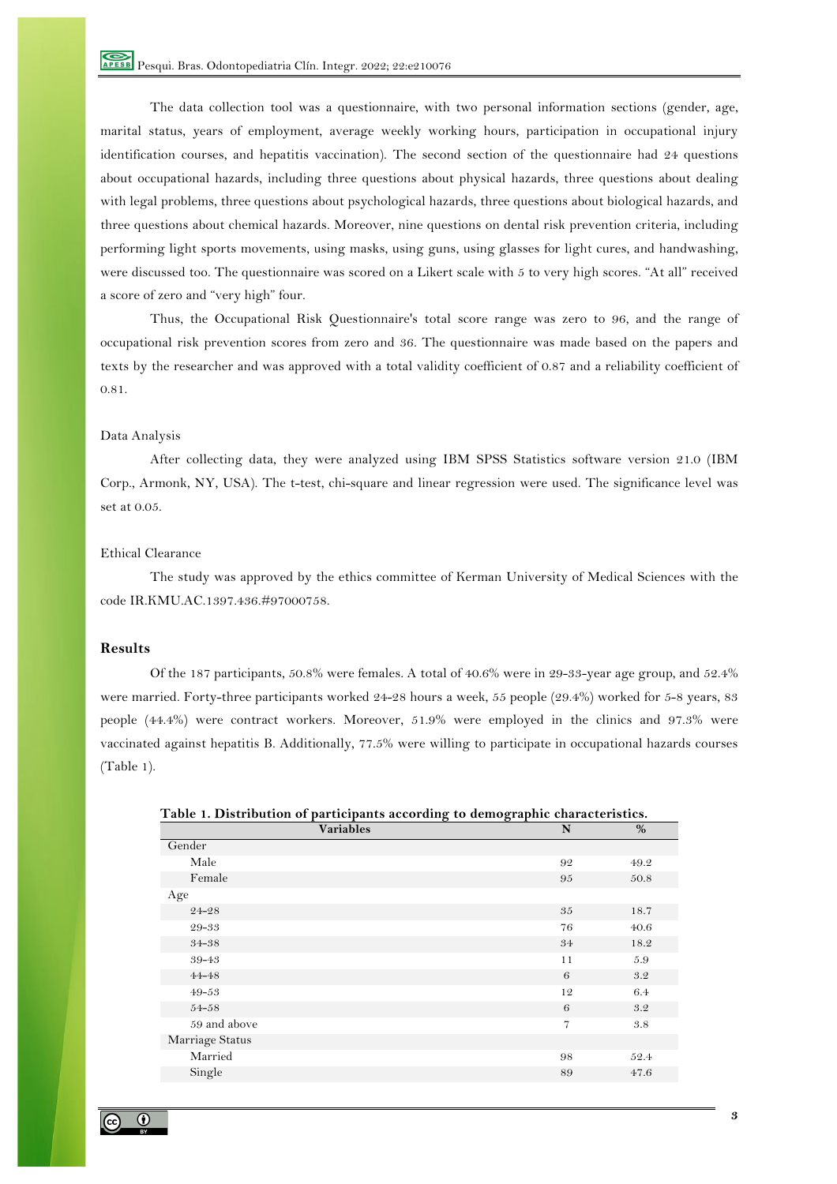The data collection tool was a questionnaire, with two personal information sections (gender, age, marital status, years of employment, average weekly working hours, participation in occupational injury identification courses, and hepatitis vaccination). The second section of the questionnaire had 24 questions about occupational hazards, including three questions about physical hazards, three questions about dealing with legal problems, three questions about psychological hazards, three questions about biological hazards, and three questions about chemical hazards. Moreover, nine questions on dental risk prevention criteria, including performing light sports movements, using masks, using guns, using glasses for light cures, and handwashing, were discussed too. The questionnaire was scored on a Likert scale with 5 to very high scores. "At all" received a score of zero and "very high" four.

Thus, the Occupational Risk Questionnaire's total score range was zero to 96, and the range of occupational risk prevention scores from zero and 36. The questionnaire was made based on the papers and texts by the researcher and was approved with a total validity coefficient of 0.87 and a reliability coefficient of 0.81.

#### Data Analysis

After collecting data, they were analyzed using IBM SPSS Statistics software version 21.0 (IBM Corp., Armonk, NY, USA). The t-test, chi-square and linear regression were used. The significance level was set at 0.05.

# Ethical Clearance

The study was approved by the ethics committee of Kerman University of Medical Sciences with the code IR.KMU.AC.1397.436.#97000758.

# **Results**

Of the 187 participants, 50.8% were females. A total of 40.6% were in 29-33-year age group, and 52.4% were married. Forty-three participants worked 24-28 hours a week, 55 people (29.4%) worked for 5-8 years, 83 people (44.4%) were contract workers. Moreover, 51.9% were employed in the clinics and 97.3% were vaccinated against hepatitis B. Additionally, 77.5% were willing to participate in occupational hazards courses (Table 1).

| <b>Variables</b> | N              | %    |
|------------------|----------------|------|
| Gender           |                |      |
| Male             | 92             | 49.2 |
| Female           | 95             | 50.8 |
| Age              |                |      |
| 24-28            | 35             | 18.7 |
| 29-33            | 76             | 40.6 |
| 34-38            | 34             | 18.2 |
| 39-43            | 11             | 5.9  |
| $44 - 48$        | 6              | 3.2  |
| $49 - 53$        | 12             | 6.4  |
| $54 - 58$        | 6              | 3.2  |
| 59 and above     | $\overline{7}$ | 3.8  |
| Marriage Status  |                |      |
| Married          | 98             | 52.4 |
| Single           | 89             | 47.6 |
|                  |                |      |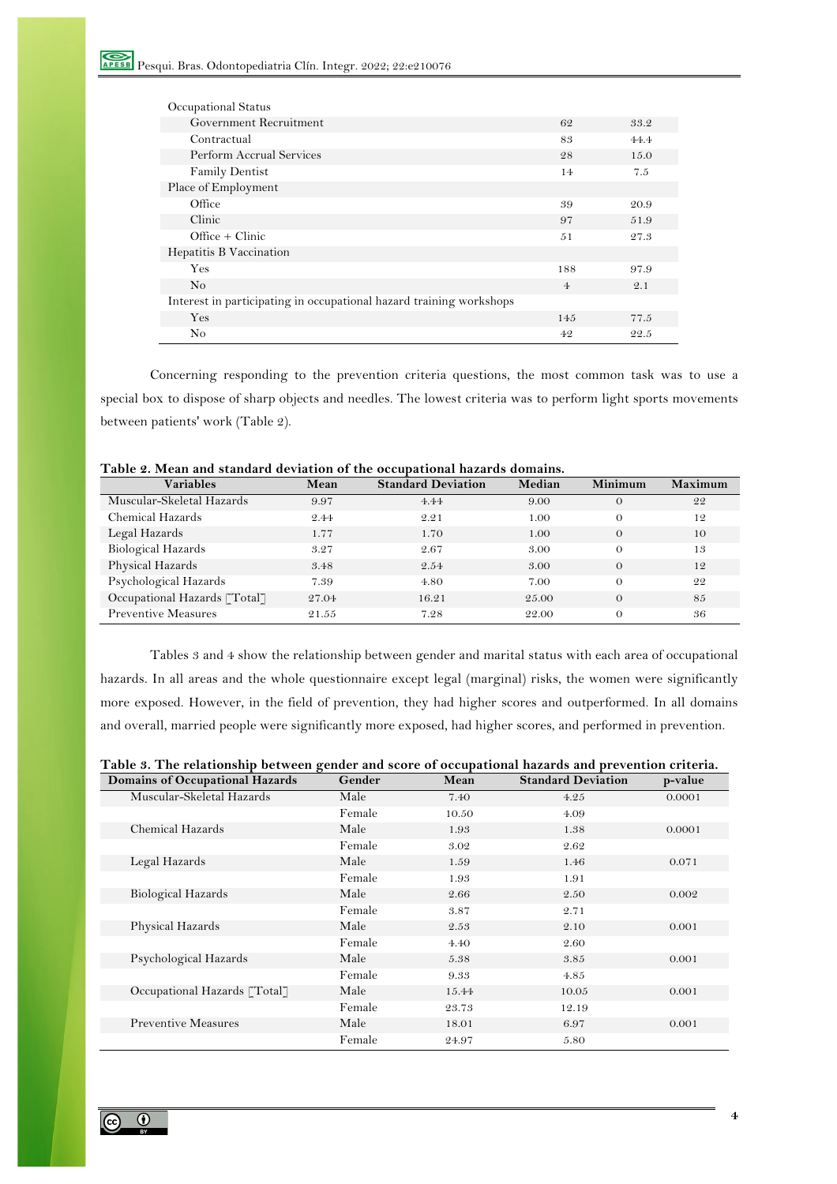| Occupational Status                                                 |                |      |
|---------------------------------------------------------------------|----------------|------|
| Government Recruitment                                              | 62             | 33.2 |
| Contractual                                                         | 83             | 44.4 |
| Perform Accrual Services                                            | 28             | 15.0 |
| <b>Family Dentist</b>                                               | 14             | 7.5  |
| Place of Employment                                                 |                |      |
| Office                                                              | 39             | 20.9 |
| Clinic                                                              | 97             | 51.9 |
| $Office + Clinic$                                                   | 51             | 27.3 |
| Hepatitis B Vaccination                                             |                |      |
| Yes                                                                 | 188            | 97.9 |
| N <sub>o</sub>                                                      | $\overline{4}$ | 2.1  |
| Interest in participating in occupational hazard training workshops |                |      |
| Yes                                                                 | 145            | 77.5 |
| No                                                                  | 4.9            | 22.5 |

Concerning responding to the prevention criteria questions, the most common task was to use a special box to dispose of sharp objects and needles. The lowest criteria was to perform light sports movements between patients' work (Table 2).

| <b>Variables</b>             | Mean  | <b>Standard Deviation</b> | Median | Minimum  | Maximum |
|------------------------------|-------|---------------------------|--------|----------|---------|
| Muscular-Skeletal Hazards    | 9.97  | 4.44                      | 9.00   | $\Omega$ | 22      |
| Chemical Hazards             | 2.44  | 2.21                      | 1.00   | $\Omega$ | 12      |
| Legal Hazards                | 1.77  | 1.70                      | 1.00   | $\Omega$ | 10      |
| Biological Hazards           | 3.27  | 2.67                      | 3.00   | $\Omega$ | 13      |
| Physical Hazards             | 3.48  | 2.54                      | 3.00   | $\Omega$ | 12      |
| Psychological Hazards        | 7.39  | 4.80                      | 7.00   | $\Omega$ | 22      |
| Occupational Hazards [Total] | 27.04 | 16.21                     | 25.00  | $\Omega$ | 85      |
| <b>Preventive Measures</b>   | 21.55 | 7.28                      | 22.00  | $\Omega$ | 36      |

**Table 2. Mean and standard deviation of the occupational hazards domains.**

Tables 3 and 4 show the relationship between gender and marital status with each area of occupational hazards. In all areas and the whole questionnaire except legal (marginal) risks, the women were significantly more exposed. However, in the field of prevention, they had higher scores and outperformed. In all domains and overall, married people were significantly more exposed, had higher scores, and performed in prevention.

| Table 3. The relationship between gender and score of occupational hazards and prevention criteria. |  |  |  |  |
|-----------------------------------------------------------------------------------------------------|--|--|--|--|
|                                                                                                     |  |  |  |  |

| Domains of Occupational Hazards | Gender | Mean  | <b>Standard Deviation</b> | p-value |
|---------------------------------|--------|-------|---------------------------|---------|
| Muscular-Skeletal Hazards       | Male   | 7.40  | 4.25                      | 0.0001  |
|                                 | Female | 10.50 | 4.09                      |         |
| Chemical Hazards                | Male   | 1.93  | 1.38                      | 0.0001  |
|                                 | Female | 3.02  | 2.62                      |         |
| Legal Hazards                   | Male   | 1.59  | 1.46                      | 0.071   |
|                                 | Female | 1.93  | 1.91                      |         |
| <b>Biological Hazards</b>       | Male   | 2.66  | 2.50                      | 0.002   |
|                                 | Female | 3.87  | 2.71                      |         |
| Physical Hazards                | Male   | 2.53  | 2.10                      | 0.001   |
|                                 | Female | 4.40  | 2.60                      |         |
| Psychological Hazards           | Male   | 5.38  | 3.85                      | 0.001   |
|                                 | Female | 9.33  | 4.85                      |         |
| Occupational Hazards [Total]    | Male   | 15.44 | 10.05                     | 0.001   |
|                                 | Female | 23.73 | 12.19                     |         |
| <b>Preventive Measures</b>      | Male   | 18.01 | 6.97                      | 0.001   |
|                                 | Female | 24.97 | 5.80                      |         |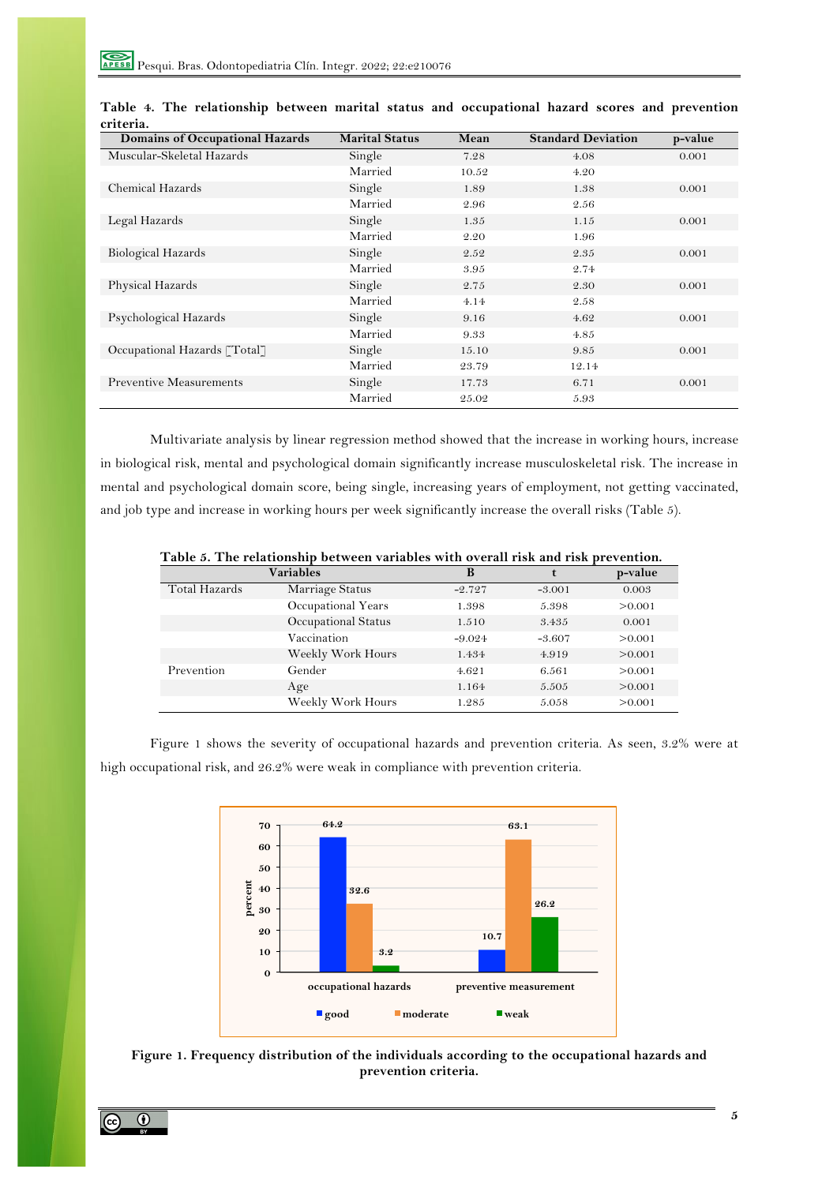| Domains of Occupational Hazards | <b>Marital Status</b> | Mean  | <b>Standard Deviation</b> | p-value |
|---------------------------------|-----------------------|-------|---------------------------|---------|
| Muscular-Skeletal Hazards       | Single                | 7.28  | 4.08                      | 0.001   |
|                                 | Married               | 10.52 | 4.20                      |         |
| Chemical Hazards                | Single                | 1.89  | 1.38                      | 0.001   |
|                                 | Married               | 2.96  | 2.56                      |         |
| Legal Hazards                   | Single                | 1.35  | 1.15                      | 0.001   |
|                                 | Married               | 2.20  | 1.96                      |         |
| <b>Biological Hazards</b>       | Single                | 2.52  | 2.35                      | 0.001   |
|                                 | Married               | 3.95  | 2.74                      |         |
| Physical Hazards                | Single                | 2.75  | 2.30                      | 0.001   |
|                                 | Married               | 4.14  | 2.58                      |         |
| Psychological Hazards           | Single                | 9.16  | 4.62                      | 0.001   |
|                                 | Married               | 9.33  | 4.85                      |         |
| Occupational Hazards [Total]    | Single                | 15.10 | 9.85                      | 0.001   |
|                                 | Married               | 23.79 | 12.14                     |         |
| <b>Preventive Measurements</b>  | Single                | 17.73 | 6.71                      | 0.001   |
|                                 | Married               | 25.02 | 5.93                      |         |

**Table 4. The relationship between marital status and occupational hazard scores and prevention criteria.**

Multivariate analysis by linear regression method showed that the increase in working hours, increase in biological risk, mental and psychological domain significantly increase musculoskeletal risk. The increase in mental and psychological domain score, being single, increasing years of employment, not getting vaccinated, and job type and increase in working hours per week significantly increase the overall risks (Table 5).

|               | Variables           | B        |          | p-value |
|---------------|---------------------|----------|----------|---------|
| Total Hazards | Marriage Status     | $-2.727$ | $-3.001$ | 0.003   |
|               | Occupational Years  | 1.398    | 5.398    | >0.001  |
|               | Occupational Status | 1.510    | 3.435    | 0.001   |
|               | Vaccination         | $-9.024$ | $-3.607$ | > 0.001 |
|               | Weekly Work Hours   | 1.434    | 4.919    | >0.001  |
| Prevention    | Gender              | 4.621    | 6.561    | > 0.001 |
|               | Age                 | 1.164    | 5.505    | >0.001  |
|               | Weekly Work Hours   | 1.285    | 5.058    | > 0.001 |

**Table 5. The relationship between variables with overall risk and risk prevention.**

Figure 1 shows the severity of occupational hazards and prevention criteria. As seen, 3.2% were at high occupational risk, and 26.2% were weak in compliance with prevention criteria.



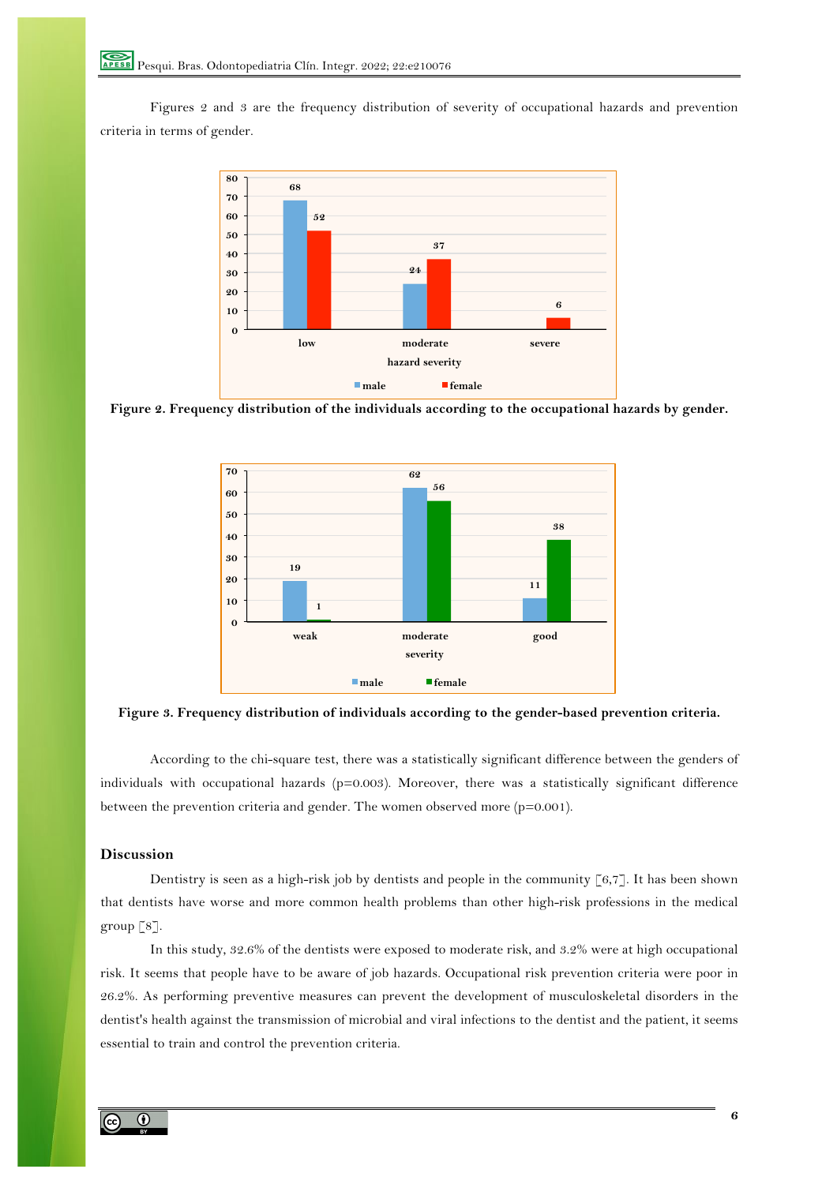Figures 2 and 3 are the frequency distribution of severity of occupational hazards and prevention criteria in terms of gender.



**Figure 2. Frequency distribution of the individuals according to the occupational hazards by gender.**



**Figure 3. Frequency distribution of individuals according to the gender-based prevention criteria.**

According to the chi-square test, there was a statistically significant difference between the genders of individuals with occupational hazards ( $p=0.003$ ). Moreover, there was a statistically significant difference between the prevention criteria and gender. The women observed more (p=0.001).

# **Discussion**

Dentistry is seen as a high-risk job by dentists and people in the community  $\lceil 6, 7 \rceil$ . It has been shown that dentists have worse and more common health problems than other high-risk professions in the medical group  $\lceil 8 \rceil$ .

In this study, 32.6% of the dentists were exposed to moderate risk, and 3.2% were at high occupational risk. It seems that people have to be aware of job hazards. Occupational risk prevention criteria were poor in 26.2%. As performing preventive measures can prevent the development of musculoskeletal disorders in the dentist's health against the transmission of microbial and viral infections to the dentist and the patient, it seems essential to train and control the prevention criteria.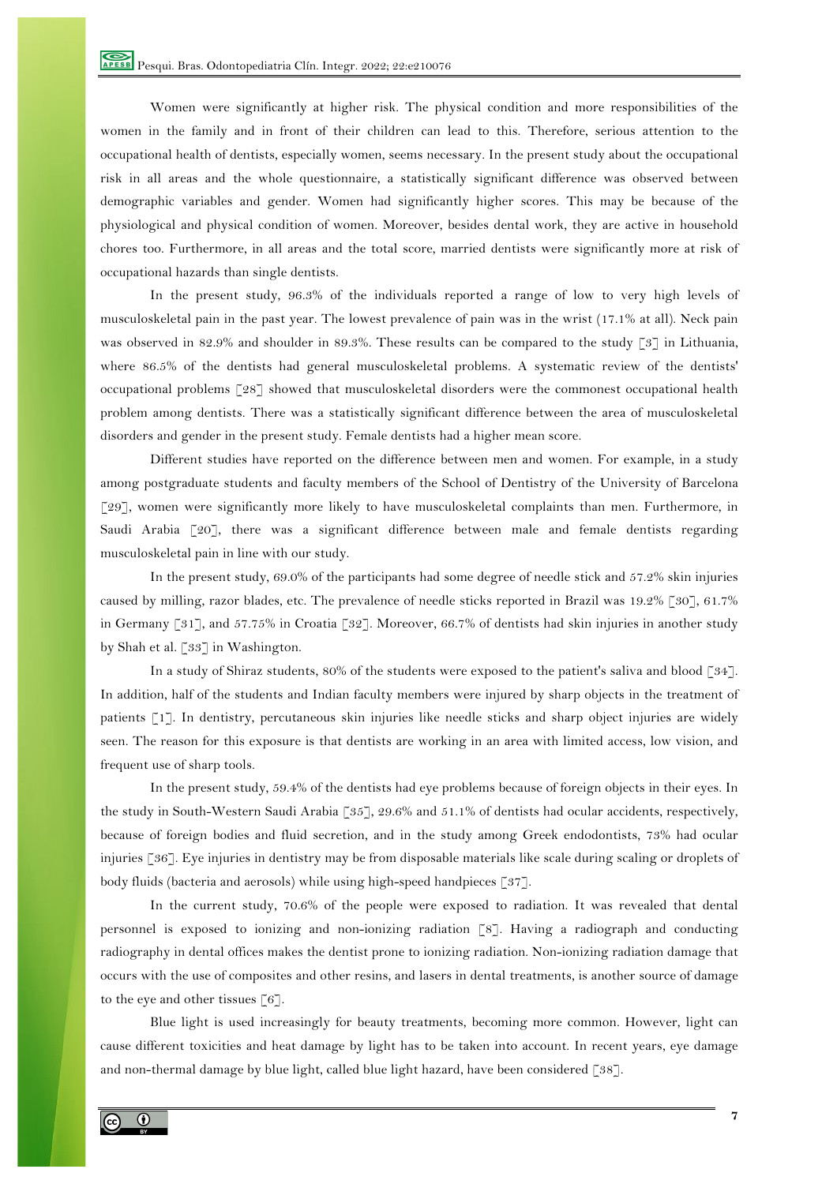Women were significantly at higher risk. The physical condition and more responsibilities of the women in the family and in front of their children can lead to this. Therefore, serious attention to the occupational health of dentists, especially women, seems necessary. In the present study about the occupational risk in all areas and the whole questionnaire, a statistically significant difference was observed between demographic variables and gender. Women had significantly higher scores. This may be because of the physiological and physical condition of women. Moreover, besides dental work, they are active in household chores too. Furthermore, in all areas and the total score, married dentists were significantly more at risk of occupational hazards than single dentists.

In the present study, 96.3% of the individuals reported a range of low to very high levels of musculoskeletal pain in the past year. The lowest prevalence of pain was in the wrist (17.1% at all). Neck pain was observed in 82.9% and shoulder in 89.3%. These results can be compared to the study [3] in Lithuania, where 86.5% of the dentists had general musculoskeletal problems. A systematic review of the dentists' occupational problems [28] showed that musculoskeletal disorders were the commonest occupational health problem among dentists. There was a statistically significant difference between the area of musculoskeletal disorders and gender in the present study. Female dentists had a higher mean score.

Different studies have reported on the difference between men and women. For example, in a study among postgraduate students and faculty members of the School of Dentistry of the University of Barcelona [29], women were significantly more likely to have musculoskeletal complaints than men. Furthermore, in Saudi Arabia [20], there was a significant difference between male and female dentists regarding musculoskeletal pain in line with our study.

In the present study, 69.0% of the participants had some degree of needle stick and 57.2% skin injuries caused by milling, razor blades, etc. The prevalence of needle sticks reported in Brazil was 19.2% [30], 61.7% in Germany [31], and 57.75% in Croatia [32]. Moreover, 66.7% of dentists had skin injuries in another study by Shah et al. [33] in Washington.

In a study of Shiraz students, 80% of the students were exposed to the patient's saliva and blood [34]. In addition, half of the students and Indian faculty members were injured by sharp objects in the treatment of patients [1]. In dentistry, percutaneous skin injuries like needle sticks and sharp object injuries are widely seen. The reason for this exposure is that dentists are working in an area with limited access, low vision, and frequent use of sharp tools.

In the present study, 59.4% of the dentists had eye problems because of foreign objects in their eyes. In the study in South-Western Saudi Arabia [35], 29.6% and 51.1% of dentists had ocular accidents, respectively, because of foreign bodies and fluid secretion, and in the study among Greek endodontists, 73% had ocular injuries [36]. Eye injuries in dentistry may be from disposable materials like scale during scaling or droplets of body fluids (bacteria and aerosols) while using high-speed handpieces [37].

In the current study, 70.6% of the people were exposed to radiation. It was revealed that dental personnel is exposed to ionizing and non-ionizing radiation [8]. Having a radiograph and conducting radiography in dental offices makes the dentist prone to ionizing radiation. Non-ionizing radiation damage that occurs with the use of composites and other resins, and lasers in dental treatments, is another source of damage to the eye and other tissues [6].

Blue light is used increasingly for beauty treatments, becoming more common. However, light can cause different toxicities and heat damage by light has to be taken into account. In recent years, eye damage and non-thermal damage by blue light, called blue light hazard, have been considered [38].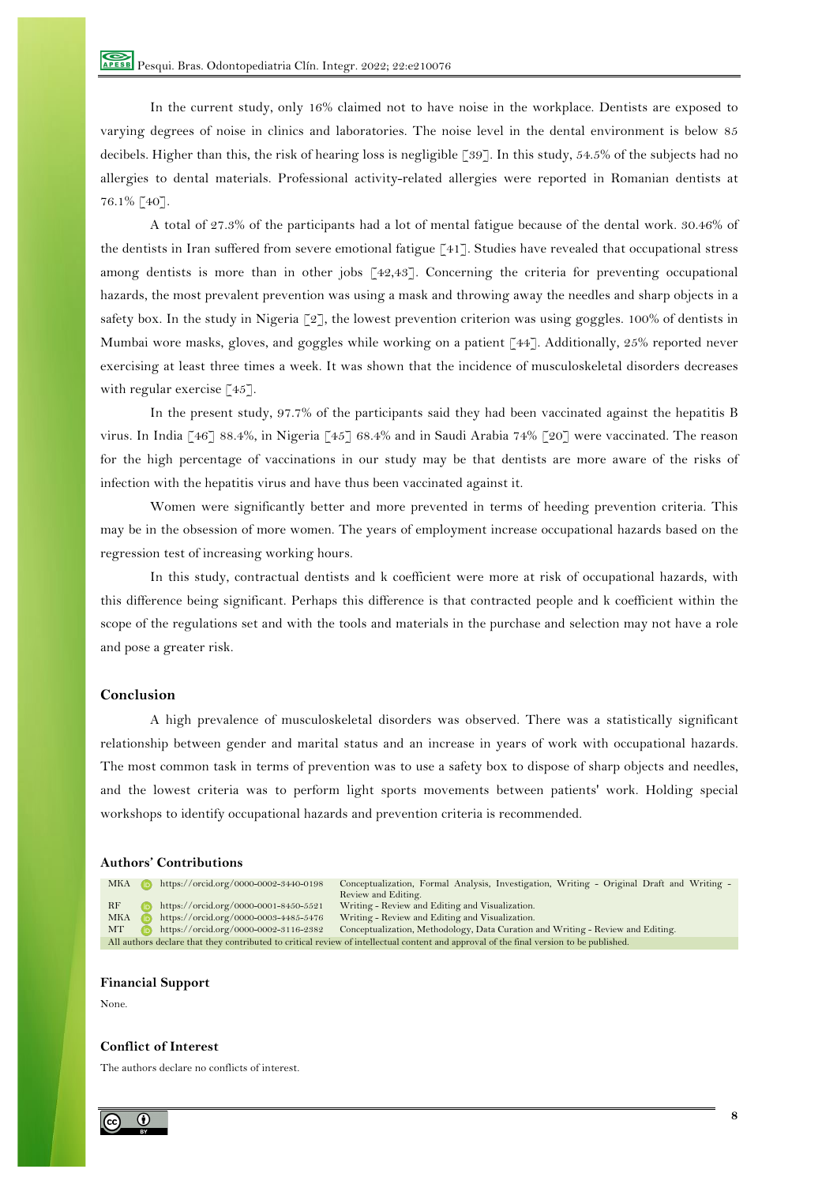In the current study, only 16% claimed not to have noise in the workplace. Dentists are exposed to varying degrees of noise in clinics and laboratories. The noise level in the dental environment is below 85 decibels. Higher than this, the risk of hearing loss is negligible [39]. In this study, 54.5% of the subjects had no allergies to dental materials. Professional activity-related allergies were reported in Romanian dentists at 76.1% [40].

A total of 27.3% of the participants had a lot of mental fatigue because of the dental work. 30.46% of the dentists in Iran suffered from severe emotional fatigue [41]. Studies have revealed that occupational stress among dentists is more than in other jobs [42,43]. Concerning the criteria for preventing occupational hazards, the most prevalent prevention was using a mask and throwing away the needles and sharp objects in a safety box. In the study in Nigeria  $\lceil 2 \rceil$ , the lowest prevention criterion was using goggles. 100% of dentists in Mumbai wore masks, gloves, and goggles while working on a patient [44]. Additionally, 25% reported never exercising at least three times a week. It was shown that the incidence of musculoskeletal disorders decreases with regular exercise [45].

In the present study, 97.7% of the participants said they had been vaccinated against the hepatitis B virus. In India [46] 88.4%, in Nigeria [45] 68.4% and in Saudi Arabia 74% [20] were vaccinated. The reason for the high percentage of vaccinations in our study may be that dentists are more aware of the risks of infection with the hepatitis virus and have thus been vaccinated against it.

Women were significantly better and more prevented in terms of heeding prevention criteria. This may be in the obsession of more women. The years of employment increase occupational hazards based on the regression test of increasing working hours.

In this study, contractual dentists and k coefficient were more at risk of occupational hazards, with this difference being significant. Perhaps this difference is that contracted people and k coefficient within the scope of the regulations set and with the tools and materials in the purchase and selection may not have a role and pose a greater risk.

# **Conclusion**

A high prevalence of musculoskeletal disorders was observed. There was a statistically significant relationship between gender and marital status and an increase in years of work with occupational hazards. The most common task in terms of prevention was to use a safety box to dispose of sharp objects and needles, and the lowest criteria was to perform light sports movements between patients' work. Holding special workshops to identify occupational hazards and prevention criteria is recommended.

#### **Authors' Contributions**

MKA https://orcid.org/0000-0002-3440-0198 Conceptualization, Formal Analysis, Investigation, Writing - Original Draft and Writing -Review and Editing. RF **https://orcid.org/0000-0001-8450-5521** Writing - Review and Editing and Visualization. MKA https://orcid.org/0000-0003-4485-5476 Writing - Review and Editing and Visualization. MT https://orcid.org/0000-0002-3116-2382 Conceptualization, Methodology, Data Curation and Writing - Review and Editing. All authors declare that they contributed to critical review of intellectual content and approval of the final version to be published.

# **Financial Support**

None.

#### **Conflict of Interest**

The authors declare no conflicts of interest.

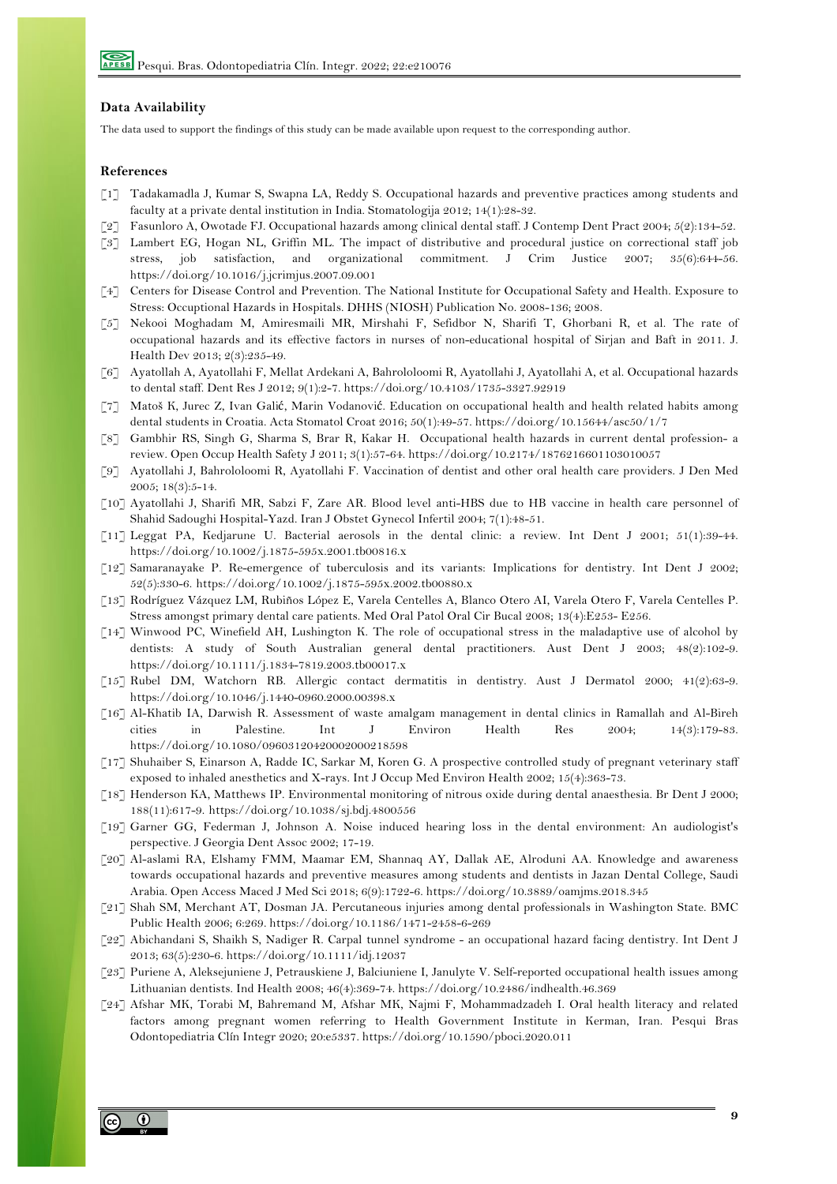## **Data Availability**

The data used to support the findings of this study can be made available upon request to the corresponding author.

#### **References**

- [1] Tadakamadla J, Kumar S, Swapna LA, Reddy S. Occupational hazards and preventive practices among students and faculty at a private dental institution in India. Stomatologija 2012; 14(1):28-32.
- [2] Fasunloro A, Owotade FJ. Occupational hazards among clinical dental staff. J Contemp Dent Pract 2004; 5(2):134-52.
- [3] Lambert EG, Hogan NL, Griffin ML. The impact of distributive and procedural justice on correctional staff job stress, job satisfaction, and organizational commitment. J Crim Justice 2007; 35(6):644-56. https://doi.org/10.1016/j.jcrimjus.2007.09.001
- [4] Centers for Disease Control and Prevention. The National Institute for Occupational Safety and Health. Exposure to Stress: Occuptional Hazards in Hospitals. DHHS (NIOSH) Publication No. 2008-136; 2008.
- [5] Nekooi Moghadam M, Amiresmaili MR, Mirshahi F, Sefidbor N, Sharifi T, Ghorbani R, et al. The rate of occupational hazards and its effective factors in nurses of non-educational hospital of Sirjan and Baft in 2011. J. Health Dev 2013; 2(3):235-49.
- [6] Ayatollah A, Ayatollahi F, Mellat Ardekani A, Bahrololoomi R, Ayatollahi J, Ayatollahi A, et al. Occupational hazards to dental staff. Dent Res J 2012; 9(1):2-7. https://doi.org/10.4103/1735-3327.92919
- [7] Matoš K, Jurec Z, Ivan Galić, Marin Vodanović. Education on occupational health and health related habits among dental students in Croatia. Acta Stomatol Croat 2016; 50(1):49-57. https://doi.org/10.15644/asc50/1/7
- [8] Gambhir RS, Singh G, Sharma S, Brar R, Kakar H. Occupational health hazards in current dental profession- a review. Open Occup Health Safety J 2011; 3(1):57-64. https://doi.org/10.2174/1876216601103010057
- [9] Ayatollahi J, Bahrololoomi R, Ayatollahi F. Vaccination of dentist and other oral health care providers. J Den Med 2005; 18(3):5-14.
- [10] Ayatollahi J, Sharifi MR, Sabzi F, Zare AR. Blood level anti-HBS due to HB vaccine in health care personnel of Shahid Sadoughi Hospital-Yazd. Iran J Obstet Gynecol Infertil 2004; 7(1):48-51.
- [11] Leggat PA, Kedjarune U. Bacterial aerosols in the dental clinic: a review. Int Dent J 2001; 51(1):39-44. https://doi.org/10.1002/j.1875-595x.2001.tb00816.x
- [12] Samaranayake P. Re-emergence of tuberculosis and its variants: Implications for dentistry. Int Dent J 2002; 52(5):330-6. https://doi.org/10.1002/j.1875-595x.2002.tb00880.x
- [13] Rodríguez Vázquez LM, Rubiños López E, Varela Centelles A, Blanco Otero AI, Varela Otero F, Varela Centelles P. Stress amongst primary dental care patients. Med Oral Patol Oral Cir Bucal 2008; 13(4):E253- E256.
- [14] Winwood PC, Winefield AH, Lushington K. The role of occupational stress in the maladaptive use of alcohol by dentists: A study of South Australian general dental practitioners. Aust Dent J 2003; 48(2):102-9. https://doi.org/10.1111/j.1834-7819.2003.tb00017.x
- [15] Rubel DM, Watchorn RB. Allergic contact dermatitis in dentistry. Aust J Dermatol 2000; 41(2):63-9. https://doi.org/10.1046/j.1440-0960.2000.00398.x
- [16] Al-Khatib IA, Darwish R. Assessment of waste amalgam management in dental clinics in Ramallah and Al-Bireh cities in Palestine. Int J Environ Health Res 2004; 14(3):179-83. https://doi.org/10.1080/09603120420002000218598
- [17] Shuhaiber S, Einarson A, Radde IC, Sarkar M, Koren G. A prospective controlled study of pregnant veterinary staff exposed to inhaled anesthetics and X-rays. Int J Occup Med Environ Health 2002; 15(4):363-73.
- [18] Henderson KA, Matthews IP. Environmental monitoring of nitrous oxide during dental anaesthesia. Br Dent J 2000; 188(11):617-9. https://doi.org/10.1038/sj.bdj.4800556
- [19] Garner GG, Federman J, Johnson A. Noise induced hearing loss in the dental environment: An audiologist's perspective. J Georgia Dent Assoc 2002; 17-19.
- [20] Al-aslami RA, Elshamy FMM, Maamar EM, Shannaq AY, Dallak AE, Alroduni AA. Knowledge and awareness towards occupational hazards and preventive measures among students and dentists in Jazan Dental College, Saudi Arabia. Open Access Maced J Med Sci 2018; 6(9):1722-6. https://doi.org/10.3889/oamjms.2018.345
- [21] Shah SM, Merchant AT, Dosman JA. Percutaneous injuries among dental professionals in Washington State. BMC Public Health 2006; 6:269. https://doi.org/10.1186/1471-2458-6-269
- [22] Abichandani S, Shaikh S, Nadiger R. Carpal tunnel syndrome an occupational hazard facing dentistry. Int Dent J 2013; 63(5):230-6. https://doi.org/10.1111/idj.12037
- [23] Puriene A, Aleksejuniene J, Petrauskiene J, Balciuniene I, Janulyte V. Self-reported occupational health issues among Lithuanian dentists. Ind Health 2008; 46(4):369-74. https://doi.org/10.2486/indhealth.46.369
- [24] Afshar MK, Torabi M, Bahremand M, Afshar MK, Najmi F, Mohammadzadeh I. Oral health literacy and related factors among pregnant women referring to Health Government Institute in Kerman, Iran. Pesqui Bras Odontopediatria Clín Integr 2020; 20:e5337. https://doi.org/10.1590/pboci.2020.011